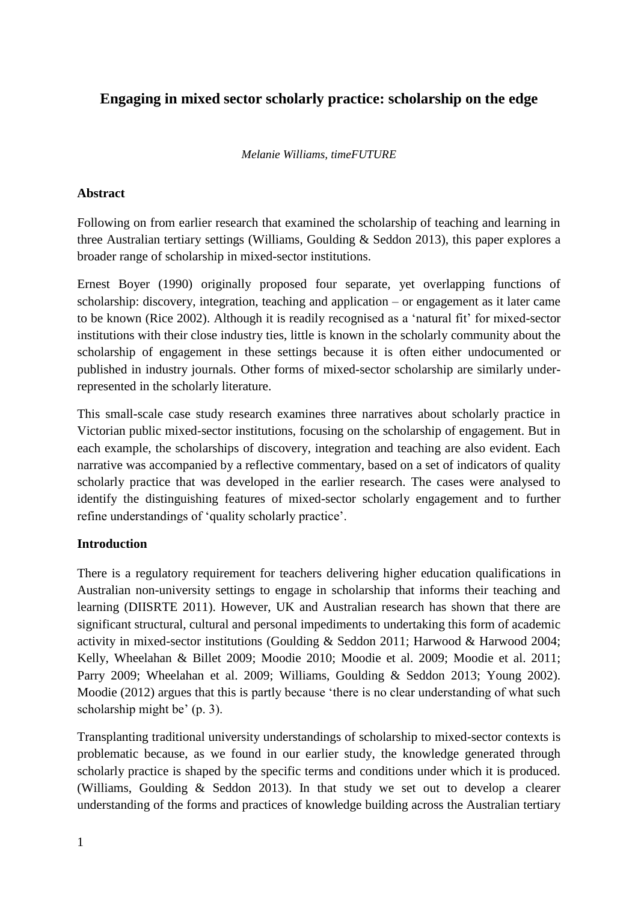# **Engaging in mixed sector scholarly practice: scholarship on the edge**

#### *Melanie Williams, timeFUTURE*

#### **Abstract**

Following on from earlier research that examined the scholarship of teaching and learning in three Australian tertiary settings [\(Williams, Goulding & Seddon 2013\)](#page-10-0), this paper explores a broader range of scholarship in mixed-sector institutions.

Ernest Boyer [\(1990\)](#page-9-0) originally proposed four separate, yet overlapping functions of scholarship: discovery, integration, teaching and application – or engagement as it later came to be known [\(Rice 2002\)](#page-10-1). Although it is readily recognised as a 'natural fit' for mixed-sector institutions with their close industry ties, little is known in the scholarly community about the scholarship of engagement in these settings because it is often either undocumented or published in industry journals. Other forms of mixed-sector scholarship are similarly underrepresented in the scholarly literature.

This small-scale case study research examines three narratives about scholarly practice in Victorian public mixed-sector institutions, focusing on the scholarship of engagement. But in each example, the scholarships of discovery, integration and teaching are also evident. Each narrative was accompanied by a reflective commentary, based on a set of indicators of quality scholarly practice that was developed in the earlier research. The cases were analysed to identify the distinguishing features of mixed-sector scholarly engagement and to further refine understandings of 'quality scholarly practice'.

#### **Introduction**

There is a regulatory requirement for teachers delivering higher education qualifications in Australian non-university settings to engage in scholarship that informs their teaching and learning [\(DIISRTE 2011\)](#page-9-1). However, UK and Australian research has shown that there are significant structural, cultural and personal impediments to undertaking this form of academic activity in mixed-sector institutions [\(Goulding & Seddon 2011;](#page-10-2) [Harwood & Harwood 2004;](#page-10-3) [Kelly, Wheelahan & Billet 2009;](#page-10-4) [Moodie 2010;](#page-10-5) [Moodie et al. 2009;](#page-10-6) [Moodie et al. 2011;](#page-10-7) [Parry 2009;](#page-10-8) [Wheelahan et al. 2009;](#page-10-9) [Williams, Goulding & Seddon 2013;](#page-10-0) [Young 2002\)](#page-10-10). Moodie [\(2012\)](#page-10-11) argues that this is partly because 'there is no clear understanding of what such scholarship might be' (p. 3).

Transplanting traditional university understandings of scholarship to mixed-sector contexts is problematic because, as we found in our earlier study, the knowledge generated through scholarly practice is shaped by the specific terms and conditions under which it is produced. [\(Williams, Goulding & Seddon 2013\)](#page-10-0). In that study we set out to develop a clearer understanding of the forms and practices of knowledge building across the Australian tertiary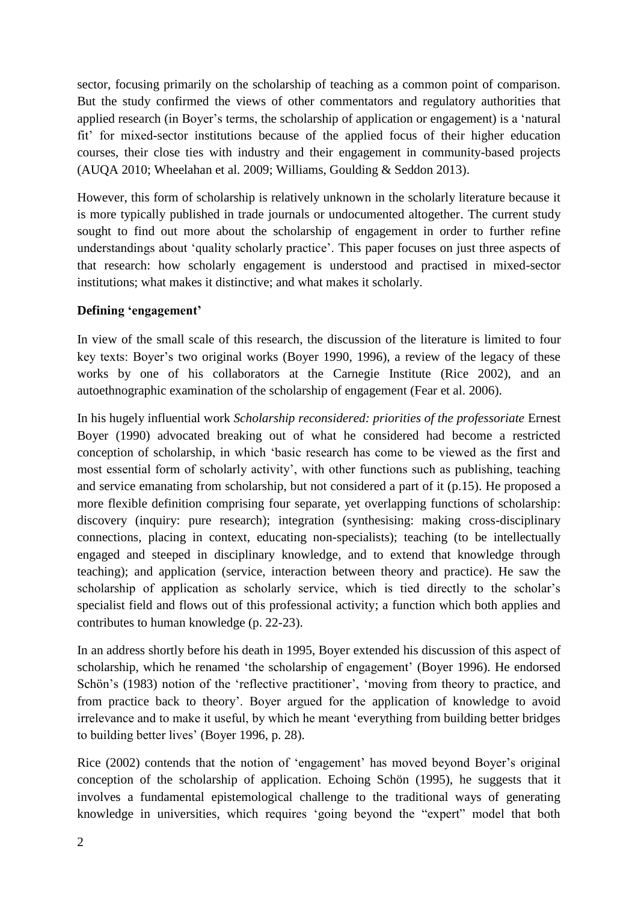sector, focusing primarily on the scholarship of teaching as a common point of comparison. But the study confirmed the views of other commentators and regulatory authorities that applied research (in Boyer's terms, the scholarship of application or engagement) is a 'natural fit' for mixed-sector institutions because of the applied focus of their higher education courses, their close ties with industry and their engagement in community-based projects [\(AUQA 2010;](#page-9-2) [Wheelahan et al. 2009;](#page-10-9) [Williams, Goulding & Seddon 2013\)](#page-10-0).

However, this form of scholarship is relatively unknown in the scholarly literature because it is more typically published in trade journals or undocumented altogether. The current study sought to find out more about the scholarship of engagement in order to further refine understandings about 'quality scholarly practice'. This paper focuses on just three aspects of that research: how scholarly engagement is understood and practised in mixed-sector institutions; what makes it distinctive; and what makes it scholarly.

#### **Defining 'engagement'**

In view of the small scale of this research, the discussion of the literature is limited to four key texts: Boyer's two original works [\(Boyer 1990,](#page-9-0) [1996\)](#page-9-3), a review of the legacy of these works by one of his collaborators at the Carnegie Institute [\(Rice 2002\)](#page-10-1), and an autoethnographic examination of the scholarship of engagement [\(Fear et al. 2006\)](#page-9-4).

In his hugely influential work *Scholarship reconsidered: priorities of the professoriate* Ernest Boyer [\(1990\)](#page-9-0) advocated breaking out of what he considered had become a restricted conception of scholarship, in which 'basic research has come to be viewed as the first and most essential form of scholarly activity', with other functions such as publishing, teaching and service emanating from scholarship, but not considered a part of it (p.15). He proposed a more flexible definition comprising four separate, yet overlapping functions of scholarship: discovery (inquiry: pure research); integration (synthesising: making cross-disciplinary connections, placing in context, educating non-specialists); teaching (to be intellectually engaged and steeped in disciplinary knowledge, and to extend that knowledge through teaching); and application (service, interaction between theory and practice). He saw the scholarship of application as scholarly service, which is tied directly to the scholar's specialist field and flows out of this professional activity; a function which both applies and contributes to human knowledge (p. 22-23).

In an address shortly before his death in 1995, Boyer extended his discussion of this aspect of scholarship, which he renamed 'the scholarship of engagement' [\(Boyer 1996\)](#page-9-3). He endorsed Schön's [\(1983\)](#page-10-12) notion of the 'reflective practitioner', 'moving from theory to practice, and from practice back to theory'. Boyer argued for the application of knowledge to avoid irrelevance and to make it useful, by which he meant 'everything from building better bridges to building better lives' [\(Boyer 1996, p. 28\)](#page-9-3).

Rice [\(2002\)](#page-10-1) contends that the notion of 'engagement' has moved beyond Boyer's original conception of the scholarship of application. Echoing Schön [\(1995\)](#page-10-13), he suggests that it involves a fundamental epistemological challenge to the traditional ways of generating knowledge in universities, which requires 'going beyond the "expert" model that both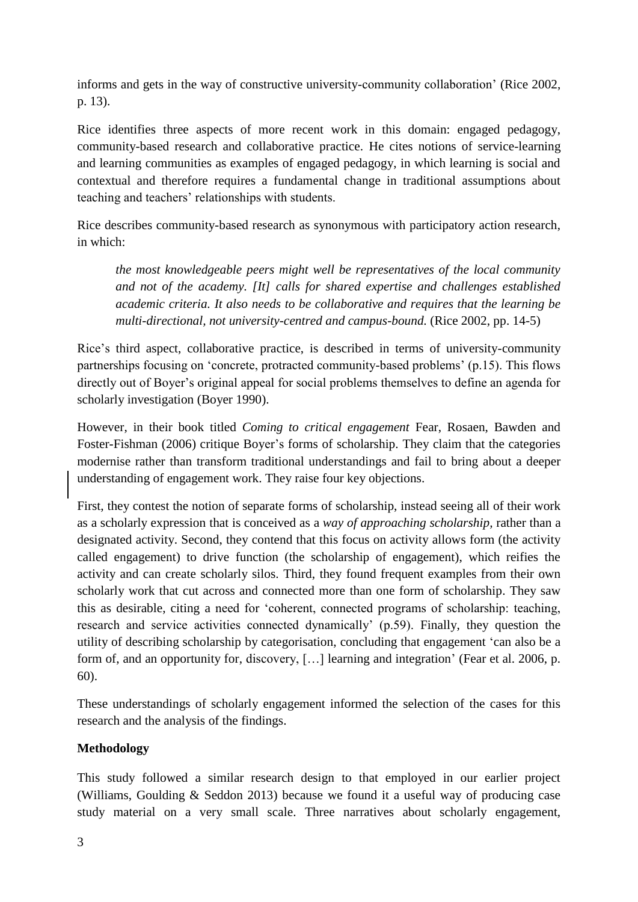informs and gets in the way of constructive university-community collaboration' [\(Rice 2002,](#page-10-1)  [p. 13\)](#page-10-1).

Rice identifies three aspects of more recent work in this domain: engaged pedagogy, community-based research and collaborative practice. He cites notions of service-learning and learning communities as examples of engaged pedagogy, in which learning is social and contextual and therefore requires a fundamental change in traditional assumptions about teaching and teachers' relationships with students.

Rice describes community-based research as synonymous with participatory action research, in which:

*the most knowledgeable peers might well be representatives of the local community and not of the academy. [It] calls for shared expertise and challenges established academic criteria. It also needs to be collaborative and requires that the learning be multi-directional, not university-centred and campus-bound.* [\(Rice 2002, pp. 14-5\)](#page-10-1)

Rice's third aspect, collaborative practice, is described in terms of university-community partnerships focusing on 'concrete, protracted community-based problems' (p.15). This flows directly out of Boyer's original appeal for social problems themselves to define an agenda for scholarly investigation [\(Boyer 1990\)](#page-9-0).

However, in their book titled *Coming to critical engagement* Fear, Rosaen, Bawden and Foster-Fishman [\(2006\)](#page-9-4) critique Boyer's forms of scholarship. They claim that the categories modernise rather than transform traditional understandings and fail to bring about a deeper understanding of engagement work. They raise four key objections.

First, they contest the notion of separate forms of scholarship, instead seeing all of their work as a scholarly expression that is conceived as a *way of approaching scholarship,* rather than a designated activity. Second, they contend that this focus on activity allows form (the activity called engagement) to drive function (the scholarship of engagement), which reifies the activity and can create scholarly silos. Third, they found frequent examples from their own scholarly work that cut across and connected more than one form of scholarship. They saw this as desirable, citing a need for 'coherent, connected programs of scholarship: teaching, research and service activities connected dynamically' (p.59). Finally, they question the utility of describing scholarship by categorisation, concluding that engagement 'can also be a form of, and an opportunity for, discovery, […] learning and integration' [\(Fear et al. 2006, p.](#page-9-4)  [60\)](#page-9-4).

These understandings of scholarly engagement informed the selection of the cases for this research and the analysis of the findings.

# **Methodology**

This study followed a similar research design to that employed in our earlier project [\(Williams, Goulding & Seddon 2013\)](#page-10-0) because we found it a useful way of producing case study material on a very small scale. Three narratives about scholarly engagement,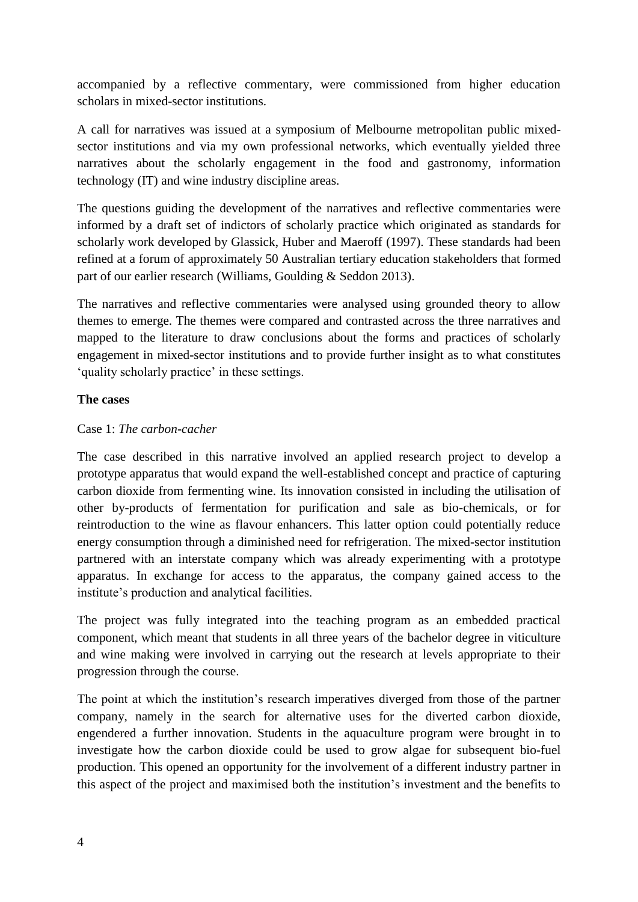accompanied by a reflective commentary, were commissioned from higher education scholars in mixed-sector institutions.

A call for narratives was issued at a symposium of Melbourne metropolitan public mixedsector institutions and via my own professional networks, which eventually yielded three narratives about the scholarly engagement in the food and gastronomy, information technology (IT) and wine industry discipline areas.

The questions guiding the development of the narratives and reflective commentaries were informed by a draft set of indictors of scholarly practice which originated as standards for scholarly work developed by Glassick, Huber and Maeroff [\(1997\)](#page-9-5). These standards had been refined at a forum of approximately 50 Australian tertiary education stakeholders that formed part of our earlier research [\(Williams, Goulding & Seddon 2013\)](#page-10-0).

The narratives and reflective commentaries were analysed using grounded theory to allow themes to emerge. The themes were compared and contrasted across the three narratives and mapped to the literature to draw conclusions about the forms and practices of scholarly engagement in mixed-sector institutions and to provide further insight as to what constitutes 'quality scholarly practice' in these settings.

#### **The cases**

#### Case 1: *The carbon-cacher*

The case described in this narrative involved an applied research project to develop a prototype apparatus that would expand the well-established concept and practice of capturing carbon dioxide from fermenting wine. Its innovation consisted in including the utilisation of other by-products of fermentation for purification and sale as bio-chemicals, or for reintroduction to the wine as flavour enhancers. This latter option could potentially reduce energy consumption through a diminished need for refrigeration. The mixed-sector institution partnered with an interstate company which was already experimenting with a prototype apparatus. In exchange for access to the apparatus, the company gained access to the institute's production and analytical facilities.

The project was fully integrated into the teaching program as an embedded practical component, which meant that students in all three years of the bachelor degree in viticulture and wine making were involved in carrying out the research at levels appropriate to their progression through the course.

The point at which the institution's research imperatives diverged from those of the partner company, namely in the search for alternative uses for the diverted carbon dioxide, engendered a further innovation. Students in the aquaculture program were brought in to investigate how the carbon dioxide could be used to grow algae for subsequent bio-fuel production. This opened an opportunity for the involvement of a different industry partner in this aspect of the project and maximised both the institution's investment and the benefits to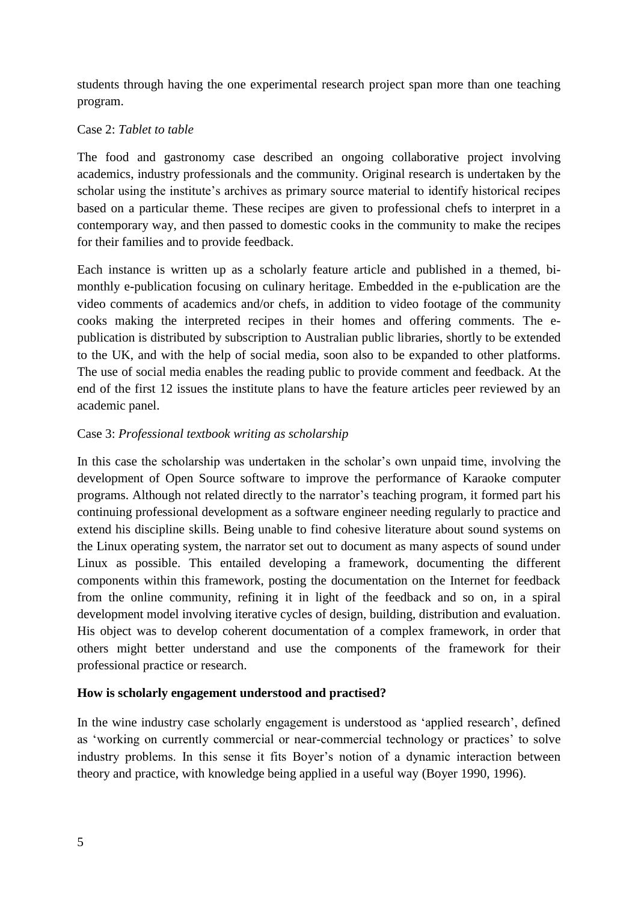students through having the one experimental research project span more than one teaching program.

### Case 2: *Tablet to table*

The food and gastronomy case described an ongoing collaborative project involving academics, industry professionals and the community. Original research is undertaken by the scholar using the institute's archives as primary source material to identify historical recipes based on a particular theme. These recipes are given to professional chefs to interpret in a contemporary way, and then passed to domestic cooks in the community to make the recipes for their families and to provide feedback.

Each instance is written up as a scholarly feature article and published in a themed, bimonthly e-publication focusing on culinary heritage. Embedded in the e-publication are the video comments of academics and/or chefs, in addition to video footage of the community cooks making the interpreted recipes in their homes and offering comments. The epublication is distributed by subscription to Australian public libraries, shortly to be extended to the UK, and with the help of social media, soon also to be expanded to other platforms. The use of social media enables the reading public to provide comment and feedback. At the end of the first 12 issues the institute plans to have the feature articles peer reviewed by an academic panel.

# Case 3: *Professional textbook writing as scholarship*

In this case the scholarship was undertaken in the scholar's own unpaid time, involving the development of Open Source software to improve the performance of Karaoke computer programs. Although not related directly to the narrator's teaching program, it formed part his continuing professional development as a software engineer needing regularly to practice and extend his discipline skills. Being unable to find cohesive literature about sound systems on the Linux operating system, the narrator set out to document as many aspects of sound under Linux as possible. This entailed developing a framework, documenting the different components within this framework, posting the documentation on the Internet for feedback from the online community, refining it in light of the feedback and so on, in a spiral development model involving iterative cycles of design, building, distribution and evaluation. His object was to develop coherent documentation of a complex framework, in order that others might better understand and use the components of the framework for their professional practice or research.

# **How is scholarly engagement understood and practised?**

In the wine industry case scholarly engagement is understood as 'applied research', defined as 'working on currently commercial or near-commercial technology or practices' to solve industry problems. In this sense it fits Boyer's notion of a dynamic interaction between theory and practice, with knowledge being applied in a useful way [\(Boyer 1990,](#page-9-0) [1996\)](#page-9-3).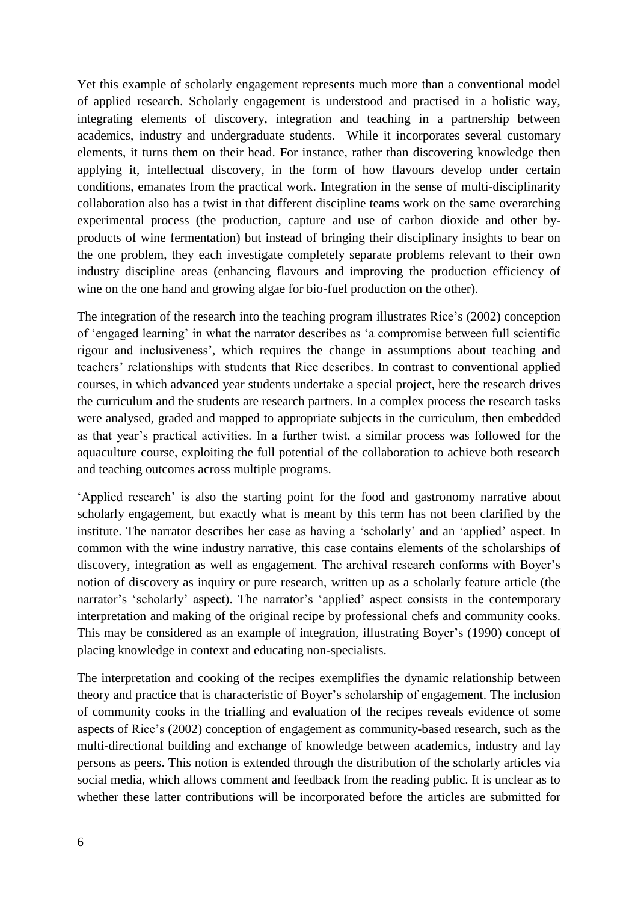Yet this example of scholarly engagement represents much more than a conventional model of applied research. Scholarly engagement is understood and practised in a holistic way, integrating elements of discovery, integration and teaching in a partnership between academics, industry and undergraduate students. While it incorporates several customary elements, it turns them on their head. For instance, rather than discovering knowledge then applying it, intellectual discovery, in the form of how flavours develop under certain conditions, emanates from the practical work. Integration in the sense of multi-disciplinarity collaboration also has a twist in that different discipline teams work on the same overarching experimental process (the production, capture and use of carbon dioxide and other byproducts of wine fermentation) but instead of bringing their disciplinary insights to bear on the one problem, they each investigate completely separate problems relevant to their own industry discipline areas (enhancing flavours and improving the production efficiency of wine on the one hand and growing algae for bio-fuel production on the other).

The integration of the research into the teaching program illustrates Rice's [\(2002\)](#page-10-1) conception of 'engaged learning' in what the narrator describes as 'a compromise between full scientific rigour and inclusiveness', which requires the change in assumptions about teaching and teachers' relationships with students that Rice describes. In contrast to conventional applied courses, in which advanced year students undertake a special project, here the research drives the curriculum and the students are research partners. In a complex process the research tasks were analysed, graded and mapped to appropriate subjects in the curriculum, then embedded as that year's practical activities. In a further twist, a similar process was followed for the aquaculture course, exploiting the full potential of the collaboration to achieve both research and teaching outcomes across multiple programs.

'Applied research' is also the starting point for the food and gastronomy narrative about scholarly engagement, but exactly what is meant by this term has not been clarified by the institute. The narrator describes her case as having a 'scholarly' and an 'applied' aspect. In common with the wine industry narrative, this case contains elements of the scholarships of discovery, integration as well as engagement. The archival research conforms with Boyer's notion of discovery as inquiry or pure research, written up as a scholarly feature article (the narrator's 'scholarly' aspect). The narrator's 'applied' aspect consists in the contemporary interpretation and making of the original recipe by professional chefs and community cooks. This may be considered as an example of integration, illustrating Boyer's [\(1990\)](#page-9-0) concept of placing knowledge in context and educating non-specialists.

The interpretation and cooking of the recipes exemplifies the dynamic relationship between theory and practice that is characteristic of Boyer's scholarship of engagement. The inclusion of community cooks in the trialling and evaluation of the recipes reveals evidence of some aspects of Rice's [\(2002\)](#page-10-1) conception of engagement as community-based research, such as the multi-directional building and exchange of knowledge between academics, industry and lay persons as peers. This notion is extended through the distribution of the scholarly articles via social media, which allows comment and feedback from the reading public. It is unclear as to whether these latter contributions will be incorporated before the articles are submitted for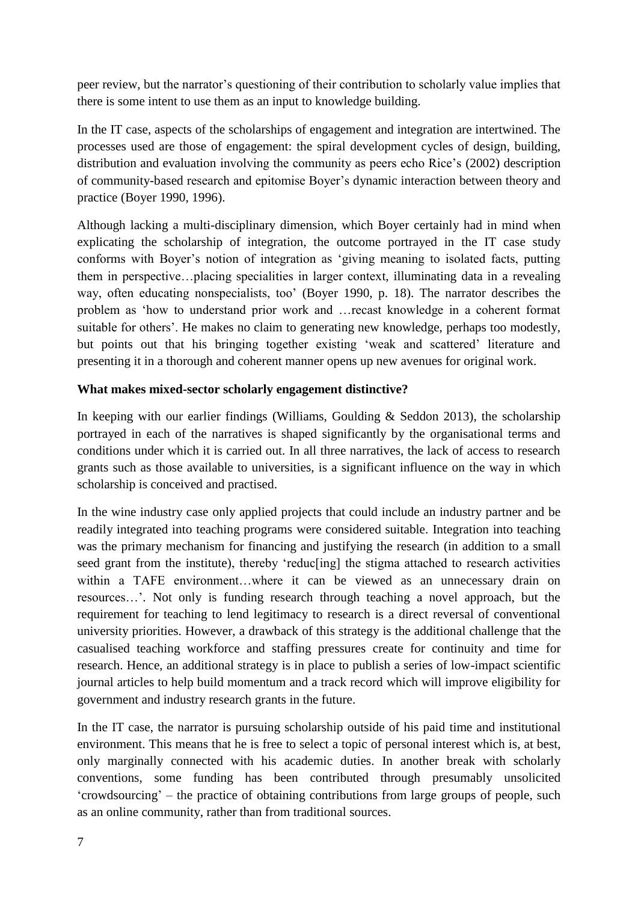peer review, but the narrator's questioning of their contribution to scholarly value implies that there is some intent to use them as an input to knowledge building.

In the IT case, aspects of the scholarships of engagement and integration are intertwined. The processes used are those of engagement: the spiral development cycles of design, building, distribution and evaluation involving the community as peers echo Rice's [\(2002\)](#page-10-1) description of community-based research and epitomise Boyer's dynamic interaction between theory and practice [\(Boyer 1990,](#page-9-0) [1996\)](#page-9-3).

Although lacking a multi-disciplinary dimension, which Boyer certainly had in mind when explicating the scholarship of integration, the outcome portrayed in the IT case study conforms with Boyer's notion of integration as 'giving meaning to isolated facts, putting them in perspective…placing specialities in larger context, illuminating data in a revealing way, often educating nonspecialists, too' [\(Boyer 1990, p.](#page-9-0) 18). The narrator describes the problem as 'how to understand prior work and …recast knowledge in a coherent format suitable for others'. He makes no claim to generating new knowledge, perhaps too modestly, but points out that his bringing together existing 'weak and scattered' literature and presenting it in a thorough and coherent manner opens up new avenues for original work.

## **What makes mixed-sector scholarly engagement distinctive?**

In keeping with our earlier findings [\(Williams, Goulding & Seddon 2013\)](#page-10-0), the scholarship portrayed in each of the narratives is shaped significantly by the organisational terms and conditions under which it is carried out. In all three narratives, the lack of access to research grants such as those available to universities, is a significant influence on the way in which scholarship is conceived and practised.

In the wine industry case only applied projects that could include an industry partner and be readily integrated into teaching programs were considered suitable. Integration into teaching was the primary mechanism for financing and justifying the research (in addition to a small seed grant from the institute), thereby 'reduc[ing] the stigma attached to research activities within a TAFE environment...where it can be viewed as an unnecessary drain on resources…'. Not only is funding research through teaching a novel approach, but the requirement for teaching to lend legitimacy to research is a direct reversal of conventional university priorities. However, a drawback of this strategy is the additional challenge that the casualised teaching workforce and staffing pressures create for continuity and time for research. Hence, an additional strategy is in place to publish a series of low-impact scientific journal articles to help build momentum and a track record which will improve eligibility for government and industry research grants in the future.

In the IT case, the narrator is pursuing scholarship outside of his paid time and institutional environment. This means that he is free to select a topic of personal interest which is, at best, only marginally connected with his academic duties. In another break with scholarly conventions, some funding has been contributed through presumably unsolicited 'crowdsourcing' – the practice of obtaining contributions from large groups of people, such as an online community, rather than from traditional sources.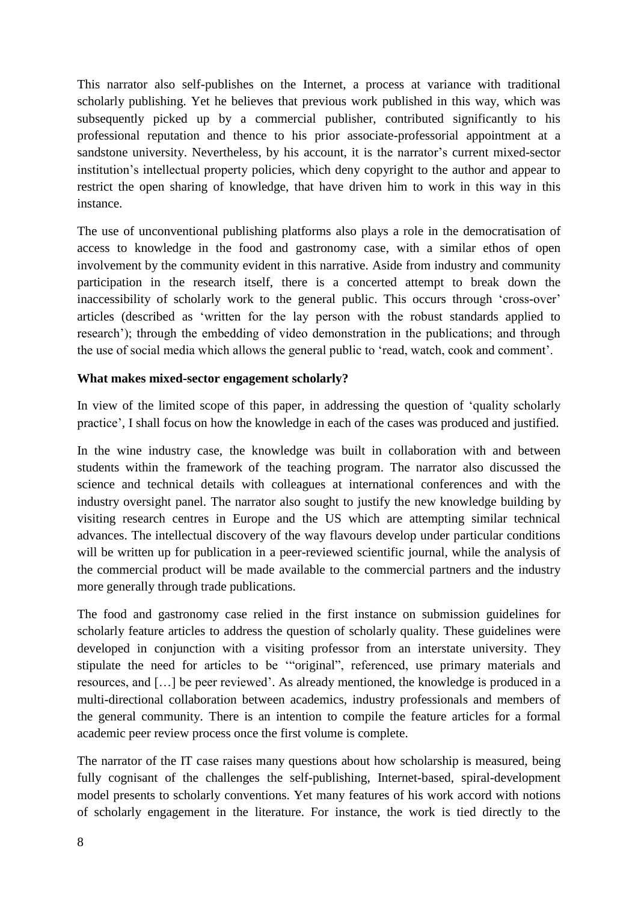This narrator also self-publishes on the Internet, a process at variance with traditional scholarly publishing. Yet he believes that previous work published in this way, which was subsequently picked up by a commercial publisher, contributed significantly to his professional reputation and thence to his prior associate-professorial appointment at a sandstone university. Nevertheless, by his account, it is the narrator's current mixed-sector institution's intellectual property policies, which deny copyright to the author and appear to restrict the open sharing of knowledge, that have driven him to work in this way in this instance.

The use of unconventional publishing platforms also plays a role in the democratisation of access to knowledge in the food and gastronomy case, with a similar ethos of open involvement by the community evident in this narrative. Aside from industry and community participation in the research itself, there is a concerted attempt to break down the inaccessibility of scholarly work to the general public. This occurs through 'cross-over' articles (described as 'written for the lay person with the robust standards applied to research'); through the embedding of video demonstration in the publications; and through the use of social media which allows the general public to 'read, watch, cook and comment'.

## **What makes mixed-sector engagement scholarly?**

In view of the limited scope of this paper, in addressing the question of 'quality scholarly practice', I shall focus on how the knowledge in each of the cases was produced and justified.

In the wine industry case, the knowledge was built in collaboration with and between students within the framework of the teaching program. The narrator also discussed the science and technical details with colleagues at international conferences and with the industry oversight panel. The narrator also sought to justify the new knowledge building by visiting research centres in Europe and the US which are attempting similar technical advances. The intellectual discovery of the way flavours develop under particular conditions will be written up for publication in a peer-reviewed scientific journal, while the analysis of the commercial product will be made available to the commercial partners and the industry more generally through trade publications.

The food and gastronomy case relied in the first instance on submission guidelines for scholarly feature articles to address the question of scholarly quality. These guidelines were developed in conjunction with a visiting professor from an interstate university. They stipulate the need for articles to be '"original", referenced, use primary materials and resources, and […] be peer reviewed'. As already mentioned, the knowledge is produced in a multi-directional collaboration between academics, industry professionals and members of the general community. There is an intention to compile the feature articles for a formal academic peer review process once the first volume is complete.

The narrator of the IT case raises many questions about how scholarship is measured, being fully cognisant of the challenges the self-publishing, Internet-based, spiral-development model presents to scholarly conventions. Yet many features of his work accord with notions of scholarly engagement in the literature. For instance, the work is tied directly to the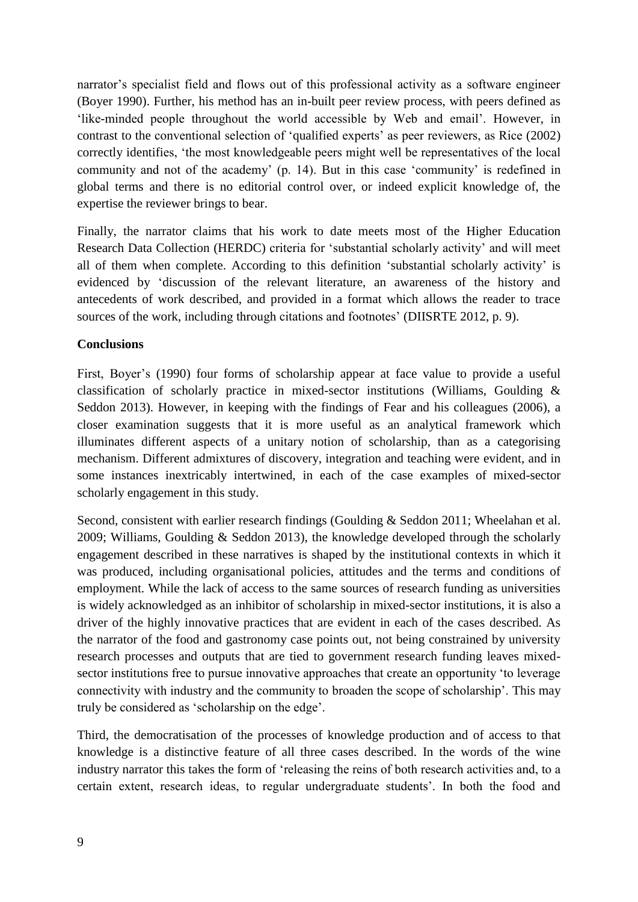narrator's specialist field and flows out of this professional activity as a software engineer [\(Boyer 1990\)](#page-9-0). Further, his method has an in-built peer review process, with peers defined as 'like-minded people throughout the world accessible by Web and email'. However, in contrast to the conventional selection of 'qualified experts' as peer reviewers, as Rice [\(2002\)](#page-10-1) correctly identifies, 'the most knowledgeable peers might well be representatives of the local community and not of the academy' (p. 14). But in this case 'community' is redefined in global terms and there is no editorial control over, or indeed explicit knowledge of, the expertise the reviewer brings to bear.

Finally, the narrator claims that his work to date meets most of the Higher Education Research Data Collection (HERDC) criteria for 'substantial scholarly activity' and will meet all of them when complete. According to this definition 'substantial scholarly activity' is evidenced by 'discussion of the relevant literature, an awareness of the history and antecedents of work described, and provided in a format which allows the reader to trace sources of the work, including through citations and footnotes' [\(DIISRTE 2012, p. 9\)](#page-9-6).

#### **Conclusions**

First, Boyer's [\(1990\)](#page-9-0) four forms of scholarship appear at face value to provide a useful classification of scholarly practice in mixed-sector institutions [\(Williams, Goulding &](#page-10-0)  [Seddon 2013\)](#page-10-0). However, in keeping with the findings of Fear and his colleagues [\(2006\)](#page-9-4), a closer examination suggests that it is more useful as an analytical framework which illuminates different aspects of a unitary notion of scholarship, than as a categorising mechanism. Different admixtures of discovery, integration and teaching were evident, and in some instances inextricably intertwined, in each of the case examples of mixed-sector scholarly engagement in this study.

Second, consistent with earlier research findings [\(Goulding & Seddon 2011;](#page-10-2) [Wheelahan et al.](#page-10-9)  [2009;](#page-10-9) [Williams, Goulding & Seddon 2013\)](#page-10-0), the knowledge developed through the scholarly engagement described in these narratives is shaped by the institutional contexts in which it was produced, including organisational policies, attitudes and the terms and conditions of employment. While the lack of access to the same sources of research funding as universities is widely acknowledged as an inhibitor of scholarship in mixed-sector institutions, it is also a driver of the highly innovative practices that are evident in each of the cases described. As the narrator of the food and gastronomy case points out, not being constrained by university research processes and outputs that are tied to government research funding leaves mixedsector institutions free to pursue innovative approaches that create an opportunity 'to leverage connectivity with industry and the community to broaden the scope of scholarship'. This may truly be considered as 'scholarship on the edge'.

Third, the democratisation of the processes of knowledge production and of access to that knowledge is a distinctive feature of all three cases described. In the words of the wine industry narrator this takes the form of 'releasing the reins of both research activities and, to a certain extent, research ideas, to regular undergraduate students'. In both the food and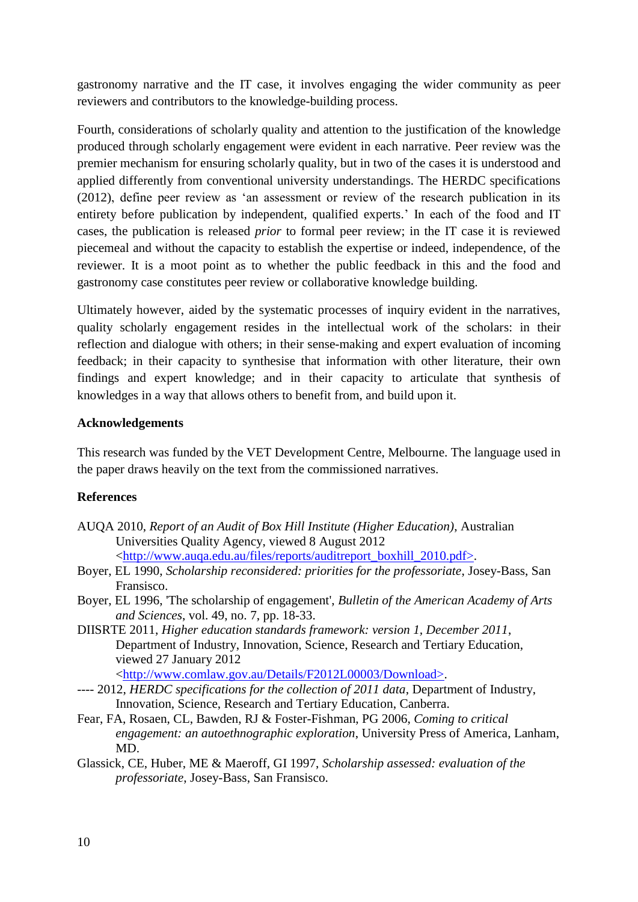gastronomy narrative and the IT case, it involves engaging the wider community as peer reviewers and contributors to the knowledge-building process.

Fourth, considerations of scholarly quality and attention to the justification of the knowledge produced through scholarly engagement were evident in each narrative. Peer review was the premier mechanism for ensuring scholarly quality, but in two of the cases it is understood and applied differently from conventional university understandings. The HERDC specifications [\(2012\)](#page-9-6), define peer review as 'an assessment or review of the research publication in its entirety before publication by independent, qualified experts.' In each of the food and IT cases, the publication is released *prior* to formal peer review; in the IT case it is reviewed piecemeal and without the capacity to establish the expertise or indeed, independence, of the reviewer. It is a moot point as to whether the public feedback in this and the food and gastronomy case constitutes peer review or collaborative knowledge building.

Ultimately however, aided by the systematic processes of inquiry evident in the narratives, quality scholarly engagement resides in the intellectual work of the scholars: in their reflection and dialogue with others; in their sense-making and expert evaluation of incoming feedback; in their capacity to synthesise that information with other literature, their own findings and expert knowledge; and in their capacity to articulate that synthesis of knowledges in a way that allows others to benefit from, and build upon it.

#### **Acknowledgements**

This research was funded by the VET Development Centre, Melbourne. The language used in the paper draws heavily on the text from the commissioned narratives.

#### **References**

- <span id="page-9-2"></span>AUQA 2010, *Report of an Audit of Box Hill Institute (Higher Education)*, Australian Universities Quality Agency, viewed 8 August 2012 [<http://www.auqa.edu.au/files/reports/auditreport\\_boxhill\\_2010.pdf>.](http://www.auqa.edu.au/files/reports/auditreport_boxhill_2010.pdf%3e)
- <span id="page-9-0"></span>Boyer, EL 1990, *Scholarship reconsidered: priorities for the professoriate*, Josey-Bass, San Fransisco.
- <span id="page-9-3"></span>Boyer, EL 1996, 'The scholarship of engagement', *Bulletin of the American Academy of Arts and Sciences*, vol. 49, no. 7, pp. 18-33.
- <span id="page-9-1"></span>DIISRTE 2011, *Higher education standards framework: version 1, December 2011*, Department of Industry, Innovation, Science, Research and Tertiary Education, viewed 27 January 2012

[<http://www.comlaw.gov.au/Details/F2012L00003/Download>.](http://www.comlaw.gov.au/Details/F2012L00003/Download%3e)

- <span id="page-9-6"></span>---- 2012, *HERDC specifications for the collection of 2011 data*, Department of Industry, Innovation, Science, Research and Tertiary Education, Canberra.
- <span id="page-9-4"></span>Fear, FA, Rosaen, CL, Bawden, RJ & Foster-Fishman, PG 2006, *Coming to critical engagement: an autoethnographic exploration*, University Press of America, Lanham, MD.
- <span id="page-9-5"></span>Glassick, CE, Huber, ME & Maeroff, GI 1997, *Scholarship assessed: evaluation of the professoriate*, Josey-Bass, San Fransisco.